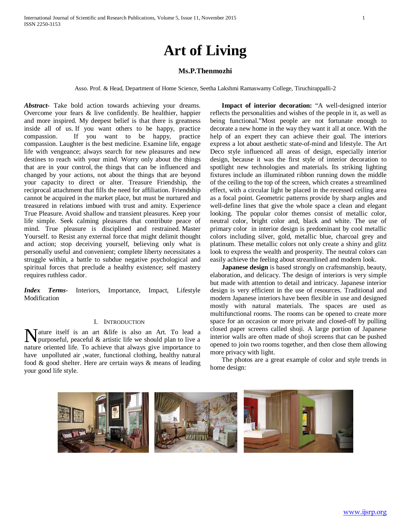# **Art of Living**

# **Ms.P.Thenmozhi**

Asso. Prof. & Head, Department of Home Science, Seetha Lakshmi Ramaswamy College, Tiruchirappalli-2

*Abstract***-** Take bold action towards achieving your dreams. Overcome your fears & live confidently. Be healthier, happier and more inspired. My deepest belief is that there is greatness inside all of us. If you want others to be happy, practice compassion. If you want to be happy, practice compassion. Laughter is the best medicine. Examine life, engage life with vengeance; always search for new pleasures and new destines to reach with your mind. Worry only about the things that are in your control, the things that can be influenced and changed by your actions, not about the things that are beyond your capacity to direct or alter. Treasure Friendship, the reciprocal attachment that fills the need for affiliation. Friendship cannot be acquired in the market place, but must be nurtured and treasured in relations imbued with trust and amity. Experience True Pleasure. Avoid shallow and transient pleasures. Keep your life simple. Seek calming pleasures that contribute peace of mind. True pleasure is disciplined and restrained. Master Yourself. to Resist any external force that might delimit thought and action; stop deceiving yourself, believing only what is personally useful and convenient; complete liberty necessitates a struggle within, a battle to subdue negative psychological and spiritual forces that preclude a healthy existence; self mastery requires ruthless cador.

*Index Terms*- Interiors, Importance, Impact, Lifestyle Modification

# I. INTRODUCTION

Mature itself is an art &life is also an Art. To lead a purposeful, peaceful & artistic life we should plan to live a purposeful, peaceful & artistic life we should plan to live a nature oriented life. To achieve that always give importance to have unpolluted air ,water, functional clothing, healthy natural food & good shelter. Here are certain ways & means of leading your good life style.

 **Impact of interior decoration:** "A well-designed interior reflects the personalities and wishes of the people in it, as well as being functional."Most people are not fortunate enough to decorate a new home in the way they want it all at once. With the help of an expert they can achieve their goal. The interiors express a lot about aesthetic state-of-mind and lifestyle. The Art Deco style influenced all areas of design, especially interior design, because it was the first style of interior decoration to spotlight new technologies and materials. Its striking lighting fixtures include an illuminated ribbon running down the middle of the ceiling to the top of the screen, which creates a streamlined effect, with a circular light be placed in the recessed ceiling area as a focal point. Geometric patterns provide by sharp angles and well-define lines that give the whole space a clean and elegant looking. The popular color themes consist of metallic color, neutral color, bright color and, black and white. The use of primary color in interior design is predominant by cool metallic colors including silver, gold, metallic blue, charcoal grey and platinum. These metallic colors not only create a shiny and glitz look to express the wealth and prosperity. The neutral colors can easily achieve the feeling about streamlined and modern look.

**Japanese design** is based strongly on craftsmanship, beauty, elaboration, and delicacy. The design of interiors is very simple but made with attention to detail and intricacy. Japanese interior design is very efficient in the use of resources. Traditional and modern Japanese interiors have been flexible in use and designed mostly with natural materials. The spaces are used as multifunctional rooms. The rooms can be opened to create more space for an occasion or more private and closed-off by pulling closed paper screens called shoji. A large portion of Japanese interior walls are often made of shoji screens that can be pushed opened to join two rooms together, and then close them allowing more privacy with light.

The photos are a great example of color and style trends in home design:

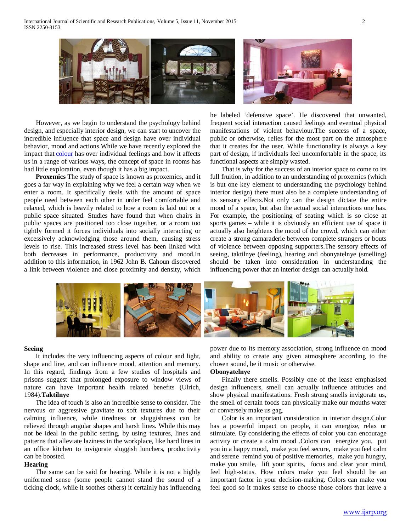

However, as we begin to understand the psychology behind design, and especially interior design, we can start to uncover the incredible influence that space and design have over individual behavior, mood and actions.While we have recently explored the impact that [colour](http://designbuildsource.com.au/colour-universal-language) has over individual feelings and how it affects us in a range of various ways, the concept of space in rooms has had little exploration, even though it has a big impact.

 **Proxemics** The study of space is known as proxemics, and it goes a far way in explaining why we feel a certain way when we enter a room. It specifically deals with the amount of space people need between each other in order feel comfortable and relaxed, which is heavily related to how a room is laid out or a public space situated. Studies have found that when chairs in public spaces are positioned too close together, or a room too tightly formed it forces individuals into socially interacting or excessively acknowledging those around them, causing stress levels to rise. This increased stress level has been linked with both decreases in performance, productivity and mood.In addition to this information, in 1962 John B. Cahoun discovered a link between violence and close proximity and density, which he labeled 'defensive space'. He discovered that unwanted, frequent social interaction caused feelings and eventual physical manifestations of violent behaviour.The success of a space, public or otherwise, relies for the most part on the atmosphere that it creates for the user. While functionality is always a key part of design, if individuals feel uncomfortable in the space, its functional aspects are simply wasted.

That is why for the success of an interior space to come to its full fruition, in addition to an understanding of proxemics (which is but one key element to understanding the psychology behind interior design) there must also be a complete understanding of its sensory effects.Not only can the design dictate the entire mood of a space, but also the actual social interactions one has. For example, the positioning of seating which is so close at sports games – while it is obviously an efficient use of space it actually also heightens the mood of the crowd, which can either create a strong camaraderie between complete strangers or bouts of violence between opposing supporters.The sensory effects of seeing, taktilnye (feeling), hearing and obonyatelnye (smelling) should be taken into consideration in understanding the influencing power that an interior design can actually hold.



#### **Seeing**

It includes the very influencing aspects of colour and light, shape and line, and can influence mood, attention and memory. In this regard, findings from a few studies of hospitals and prisons suggest that prolonged exposure to window views of nature can have important health related benefits (Ulrich, 1984).**Taktilnye**

The idea of touch is also an incredible sense to consider. The nervous or aggressive gravitate to soft textures due to their calming influence, while tiredness or sluggishness can be relieved through angular shapes and harsh lines. While this may not be ideal in the public setting, by using textures, lines and patterns that alleviate laziness in the workplace, like hard lines in an office kitchen to invigorate sluggish lunchers, productivity can be boosted.

# **Hearing**

The same can be said for hearing. While it is not a highly uniformed sense (some people cannot stand the sound of a ticking clock, while it soothes others) it certainly has influencing power due to its memory association, strong influence on mood and ability to create any given atmosphere according to the chosen sound, be it music or otherwise.

## **Obonyatelnye**

Finally there smells. Possibly one of the lease emphasised design influencers, smell can actually influence attitudes and show physical manifestations. Fresh strong smells invigorate us, the smell of certain foods can physically make our mouths water or conversely make us gag.

Color is an important consideration in interior design.Color has a powerful impact on people, it can energize, relax or stimulate. By considering the effects of color you can encourage activity or create a calm mood .Colors can energize you, put you in a happy mood, make you feel secure, make you feel calm and serene remind you of positive memories, make you hungry, make you smile, lift your spirits, focus and clear your mind, feel high-status. How colors make you feel should be an important factor in your decision-making. Colors can make you feel good so it makes sense to choose those colors that leave a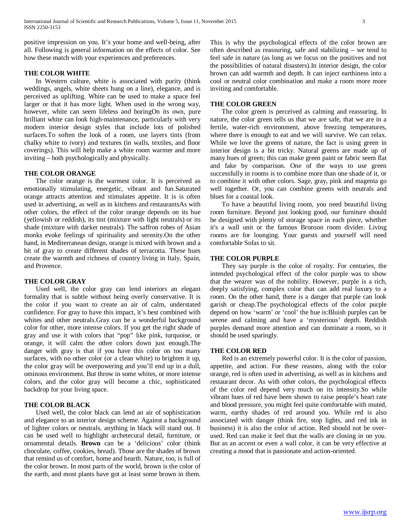positive impression on you. It's your home and well-being, after all. Following is general information on the effects of color. See how these match with your experiences and preferences.

# **THE COLOR WHITE**

In Western culture, white is associated with purity (think weddings, angels, white sheets hung on a line), elegance, and is perceived as uplifting. White can be used to make a space feel larger or that it has more light. When used in the wrong way, however, white can seem lifeless and boringOn its own, pure brilliant white can look high-maintenance, particularly with very modern interior design styles that include lots of polished surfaces.To soften the look of a room, use layers tints (from chalky white to ivory) and textures (in walls, textiles, and floor coverings). This will help make a white room warmer and more inviting – both psychologically and physically.

# **THE COLOR ORANGE**

The color orange is the warmest color. It is perceived as emotionally stimulating, energetic, vibrant and fun.Saturated orange attracts attention and stimulates appetite. It is is often used in advertising, as well as in kitchens and restaurantsAs with other colors, the effect of the color orange depends on its hue (yellowish or reddish), its tint (mixture with light neutrals) or its shade (mixture with darker neutrals). The saffron robes of Asian monks evoke feelings of spirituality and serenity.On the other hand, in Mediterranean design, orange is mixed with brown and a bit of gray to create different shades of terracotta. These hues create the warmth and richness of country living in Italy, Spain, and Provence.

## **THE COLOR GRAY**

Used well, the color gray can lend interiors an elegant formality that is subtle without being overly conservative. It is the color if you want to create an air of calm, understated confidence. For gray to have this impact, it's best combined with whites and other neutrals.Gray can be a wonderful background color for other, more intense colors. If you get the right shade of gray and use it with colors that "pop" like pink, turquoise, or orange, it will calm the other colors down just enough.The danger with gray is that if you have this color on too many surfaces, with no other color (or a clean white) to brighten it up, the color gray will be overpowering and you'll end up in a dull, ominous environment. But throw in some whites, or more intense colors, and the color gray will become a chic, sophisticated backdrop for your living space.

## **THE COLOR BLACK**

Used well, the color black can lend an air of sophistication and elegance to an interior design scheme. Against a background of lighter colors or neutrals, anything in black will stand out. It can be used well to highlight archetecural detail, furniture, or ornamental details. **Brown** can be a 'delicious' color (think chocolate, coffee, cookies, bread). Those are the shades of brown that remind us of comfort, home and hearth. Nature, too, is full of the color brown. In most parts of the world, brown is the color of the earth, and most plants have got at least some brown in them. This is why the psychological effects of the color brown are often described as reassuring, safe and stabilizing – we tend to feel safe in nature (as long as we focus on the positives and not the possibilities of natural disasters).In interior design, the color brown can add warmth and depth. It can inject earthiness into a cool or neutral color combination and make a room more more inviting and comfortable.

#### **THE COLOR GREEN**

The color green is perceived as calming and reassuring. In nature, the color green tells us that we are safe, that we are in a fertile, water-rich environment, above freezing temperatures, where there is enough to eat and we will survive. We can relax. While we love the greens of nature, the fact is using green in interior design is a bit tricky. Natural greens are made up of many hues of green; this can make green paint or fabric seem flat and fake by comparison. One of the ways to use green successfully in rooms is to combine more than one shade of it, or to combine it with other colors. Sage, gray, pink and magenta go well together. Or, you can combine greens with neutrals and blues for a coastal look.

To have a beautiful living room, you need beautiful living room furniture. Beyond just looking good, our furniture should be designed with plenty of storage space in each piece, whether it's a wall unit or the famous Bronson room divider. Living rooms are for lounging. Your guests and yourself will need comfortable Sofas to sit.

# **THE COLOR PURPLE**

They say purple is the color of royalty. For centuries, the intended psychological effect of the color purple was to show that the wearer was of the nobility. However, purple is a rich, deeply satisfying, complex color that can add real luxury to a room. On the other hand, there is a danger that purple can look garish or cheap.The psychological effects of the color purple depend on how 'warm' or 'cool' the hue is:Bluish purples can be serene and calming and have a 'mysterious' depth. Reddish purples demand more attention and can dominate a room, so it should be used sparingly.

## **THE COLOR RED**

 Red is an extremely powerful color. It is the color of passion, appetite, and action. For these reasons, along with the color orange, red is often used in advertising, as well as in kitchens and restaurant decor. As with other colors, the psychological effects of the color red depend very much on its intensity.So while vibrant hues of red have been shown to raise people's heart rate and blood pressure, you might feel quite comfortable with muted, warm, earthy shades of red around you. While red is also associated with danger (think fire, stop lights, and red ink in business) it is also the color of action. Red should not be overused. Red can make it feel that the walls are closing in on you. But as an accent or even a wall color, it can be very effective at creating a mood that is passionate and action-oriented.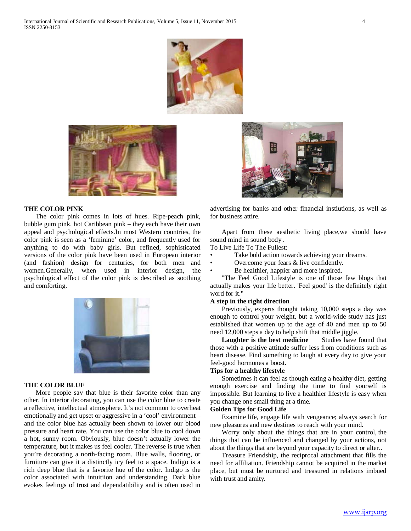



#### **THE COLOR PINK**

 The color pink comes in lots of hues. Ripe-peach pink, bubble gum pink, hot Caribbean pink – they each have their own appeal and psychological effects.In most Western countries, the color pink is seen as a 'feminine' color, and frequently used for anything to do with baby girls. But refined, sophisticated versions of the color pink have been used in European interior (and fashion) design for centuries, for both men and women.Generally, when used in interior design, the psychological effect of the color pink is described as soothing and comforting.



#### **THE COLOR BLUE**

 More people say that blue is their favorite color than any other. In interior decorating, you can use the color blue to create a reflective, intellectual atmosphere. It's not common to overheat emotionally and get upset or aggressive in a 'cool' environment – and the color blue has actually been shown to lower our blood pressure and heart rate. You can use the color blue to cool down a hot, sunny room. Obviously, blue doesn't actually lower the temperature, but it makes us feel cooler. The reverse is true when you're decorating a north-facing room. Blue walls, flooring, or furniture can give it a distinctly icy feel to a space. Indigo is a rich deep blue that is a favorite hue of the color. Indigo is the color associated with intuitiion and understanding. Dark blue evokes feelings of trust and dependatibility and is often used in



advertising for banks and other financial instiutions, as well as for business attire.

 Apart from these aesthetic living place,we should have sound mind in sound body .

To Live Life To The Fullest:

- Take bold action towards achieving your dreams.
- Overcome your fears & live confidently.
- Be healthier, happier and more inspired.

 "The Feel Good Lifestyle is one of those few blogs that actually makes your life better. 'Feel good' is the definitely right word for it."

## **A step in the right direction**

 Previously, experts thought taking 10,000 steps a day was enough to control your weight, but a world-wide study has just established that women up to the age of 40 and men up to 50 need 12,000 steps a day to help shift that middle jiggle.

**Laughter is the best medicine** Studies have found that those with a positive attitude suffer less from conditions such as heart disease. Find something to laugh at every day to give your feel-good hormones a boost.

## **Tips for a healthy lifestyle**

 Sometimes it can feel as though eating a healthy diet, getting enough exercise and finding the time to find yourself is impossible. But learning to live a healthier lifestyle is easy when you change one small thing at a time.

# **Golden Tips for Good Life**

 Examine life, engage life with vengeance; always search for new pleasures and new destines to reach with your mind.

 Worry only about the things that are in your control, the things that can be influenced and changed by your actions, not about the things that are beyond your capacity to direct or alter..

 Treasure Friendship, the reciprocal attachment that fills the need for affiliation. Friendship cannot be acquired in the market place, but must be nurtured and treasured in relations imbued with trust and amity.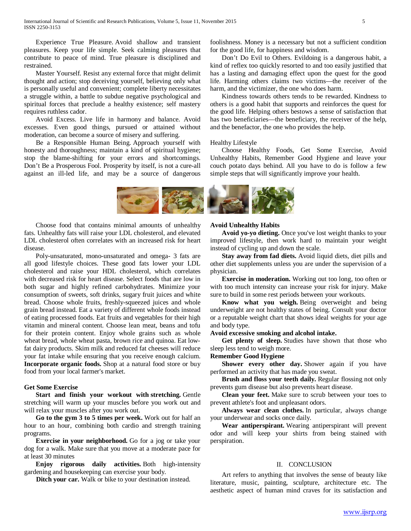Experience True Pleasure. Avoid shallow and transient pleasures. Keep your life simple. Seek calming pleasures that contribute to peace of mind. True pleasure is disciplined and restrained.

 Master Yourself. Resist any external force that might delimit thought and action; stop deceiving yourself, believing only what is personally useful and convenient; complete liberty necessitates a struggle within, a battle to subdue negative psychological and spiritual forces that preclude a healthy existence; self mastery requires ruthless cador.

 Avoid Excess. Live life in harmony and balance. Avoid excesses. Even good things, pursued or attained without moderation, can become a source of misery and suffering.

 Be a Responsible Human Being. Approach yourself with honesty and thoroughness; maintain a kind of spiritual hygiene; stop the blame-shifting for your errors and shortcomings. Don't Be a Prosperous Fool. Prosperity by itself, is not a cure-all against an ill-led life, and may be a source of dangerous foolishness. Money is a necessary but not a sufficient condition for the good life, for happiness and wisdom.

 Don't Do Evil to Others. Evildoing is a dangerous habit, a kind of reflex too quickly resorted to and too easily justified that has a lasting and damaging effect upon the quest for the good life. Harming others claims two victims—the receiver of the harm, and the victimizer, the one who does harm.

 Kindness towards others tends to be rewarded. Kindness to others is a good habit that supports and reinforces the quest for the good life. Helping others bestows a sense of satisfaction that has two beneficiaries—the beneficiary, the receiver of the help, and the benefactor, the one who provides the help.

Healthy Lifestyle

 Choose Healthy Foods, Get Some Exercise, Avoid Unhealthy Habits, Remember Good Hygiene and leave your couch potato days behind. All you have to do is follow a few simple steps that will significantly improve your health.



 Choose food that contains minimal amounts of unhealthy fats. Unhealthy fats will raise your LDL cholesterol, and elevated LDL cholesterol often correlates with an increased risk for heart disease.

 Poly-unsaturated, mono-unsaturated and omega- 3 fats are all good lifestyle choices. These good fats lower your LDL cholesterol and raise your HDL cholesterol, which correlates with decreased risk for heart disease. Select foods that are low in both sugar and highly refined carbohydrates. Minimize your consumption of sweets, soft drinks, sugary fruit juices and white bread. Choose whole fruits, freshly-squeezed juices and whole grain bread instead. Eat a variety of different whole foods instead of eating processed foods. Eat fruits and vegetables for their high vitamin and mineral content. Choose lean meat, beans and tofu for their protein content. Enjoy whole grains such as whole wheat bread, whole wheat pasta, brown rice and quinoa. Eat lowfat dairy products. Skim milk and reduced fat cheeses will reduce your fat intake while ensuring that you receive enough calcium. **Incorporate organic foods.** Shop at a natural food store or buy food from your local farmer's market.

## **Get Some Exercise**

 **Start and finish your workout with stretching.** Gentle stretching will warm up your muscles before you work out and will relax your muscles after you work out.

 **Go to the gym 3 to 5 times per week.** Work out for half an hour to an hour, combining both cardio and strength training programs.

 **Exercise in your neighborhood.** Go for a jog or take your dog for a walk. Make sure that you move at a moderate pace for at least 30 minutes

 **Enjoy rigorous daily activities.** Both high-intensity gardening and housekeeping can exercise your body.

**Ditch your car.** Walk or bike to your destination instead.

# **Avoid Unhealthy Habits**

 **Avoid yo-yo dieting.** Once you've lost weight thanks to your improved lifestyle, then work hard to maintain your weight instead of cycling up and down the scale.

 **Stay away from fad diets.** Avoid liquid diets, diet pills and other diet supplements unless you are under the supervision of a physician.

 **Exercise in moderation.** Working out too long, too often or with too much intensity can increase your risk for injury. Make sure to build in some rest periods between your workouts.

 **Know what you weigh.** Being overweight and being underweight are not healthy states of being. Consult your doctor or a reputable weight chart that shows ideal weights for your age and body type.

## **Avoid excessive smoking and alcohol intake.**

 **Get plenty of sleep.** Studies have shown that those who sleep less tend to weigh more.

## **Remember Good Hygiene**

Shower every other day. Shower again if you have performed an activity that has made you sweat.

 **Brush and floss your teeth daily.** Regular flossing not only prevents gum disease but also prevents heart disease.

 **Clean your feet.** Make sure to scrub between your toes to prevent athlete's foot and unpleasant odors.

 **Always wear clean clothes.** In particular, always change your underwear and socks once daily.

 **Wear antiperspirant.** Wearing antiperspirant will prevent odor and will keep your shirts from being stained with perspiration.

## II. CONCLUSION

 Art refers to anything that involves the sense of beauty like literature, music, painting, sculpture, architecture etc. The aesthetic aspect of human mind craves for its satisfaction and